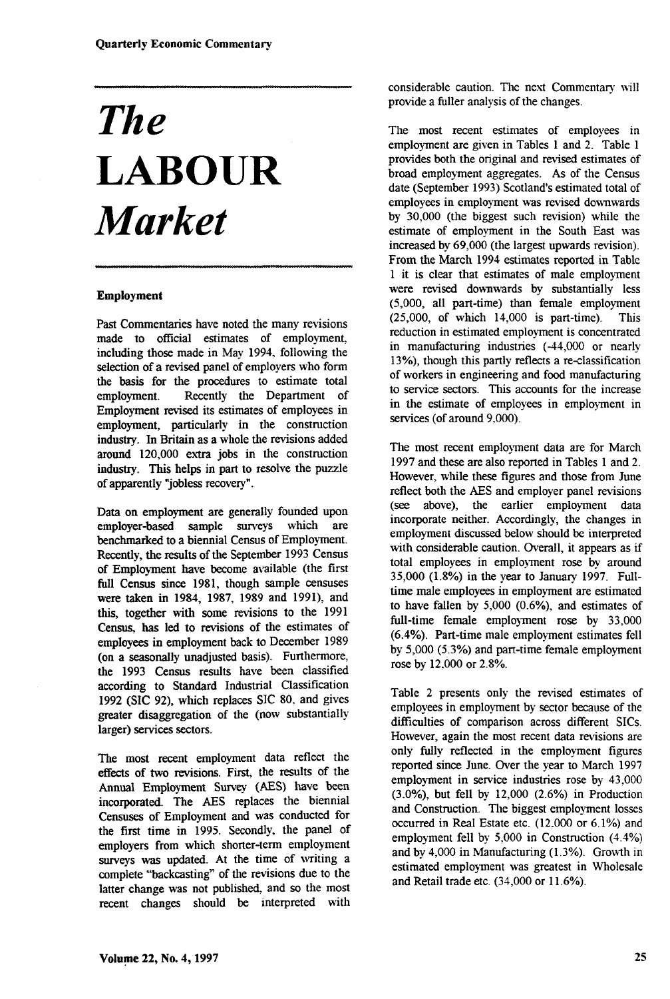# *The*  **LABOUR**  *Market*

#### **Employment**

Past Commentaries have noted the many revisions made to official estimates of employment, including those made in May 1994, following the selection of a revised panel of employers who form the basis for the procedures to estimate total employment. Recently the Department of Employment revised its estimates of employees in employment, particularly in the construction industry. In Britain as a whole the revisions added around 120,000 extra jobs in the construction industry. This helps in part to resolve the puzzle of apparently "jobless recovery".

Data on employment are generally founded upon employer-based sample surveys which are benchmarked to a biennial Census of Employment. Recently, the results of the September 1993 Census of Employment have become available (the first full Census since 1981, though sample censuses were taken in 1984, 1987, 1989 and 1991), and this, together with some revisions to the 1991 Census, has led to revisions of the estimates of employees in employment back to December 1989 (on a seasonally unadjusted basis). Furthermore, the 1993 Census results have been classified according to Standard Industrial Classification 1992 (SIC 92), which replaces SIC 80, and gives greater disaggregation of the (now substantially larger) services sectors.

The most recent employment data reflect the effects of two revisions. First, the results of the Annual Employment Survey (AES) have been incorporated. The AES replaces the biennial Censuses of Employment and was conducted for the first time in 1995. Secondly, the panel of employers from which shorter-term employment surveys was updated. At the time of writing a complete "backcasting" of the revisions due to the latter change was not published, and so the most recent changes should be interpreted with considerable caution. The next Commentary will provide a fuller analysis of the changes.

The most recent estimates of employees in employment are given in Tables 1 and 2. Table 1 provides both the original and revised estimates of broad employment aggregates. As of the Census date (September 1993) Scotland's estimated total of employees in employment was revised downwards by 30,000 (the biggest such revision) while the estimate of employment in the South East was increased by 69,000 (the largest upwards revision). From the March 1994 estimates reported in Table 1 it is clear that estimates of male employment were revised downwards by substantially less (5,000, all part-time) than female employment (25,000, of which 14,000 is part-time). This reduction in estimated employment is concentrated in manufacturing industries (-44,000 or nearly 13%), though this partly reflects a re-classification of workers in engineering and food manufacturing to service sectors. This accounts for the increase in the estimate of employees in employment in services (of around 9,000).

The most recent employment data are for March 1997 and these are also reported in Tables 1 and 2. However, while these figures and those from June reflect both the AES and employer panel revisions (see above), the earlier employment data incorporate neither. Accordingly, the changes in employment discussed below should be interpreted with considerable caution. Overall, it appears as if total employees in employment rose by around 35,000 (1.8%) in the year to January 1997. Fulltime male employees in employment are estimated to have fallen by 5,000 (0.6%), and estimates of full-time female employment rose by 33,000 (6.4%). Part-time male employment estimates fell by 5,000 (5.3%) and part-time female employment rose by 12.000 or 2.8%.

Table 2 presents only the revised estimates of employees in employment by sector because of the difficulties of comparison across different SICs. However, again the most recent data revisions are only fully reflected in the employment figures reported since June. Over the year to March 1997 employment in service industries rose by 43,000 (3.0%), but fell by 12,000 (2.6%) in Production and Construction. The biggest employment losses occurred in Real Estate etc. (12.000 or 6.1%) and employment fell by 5,000 in Construction (4.4%) and by 4,000 in Manufacturing (1.3%). Growth in estimated employment was greatest in Wholesale and Retail trade etc. (34,000 or 11.6%).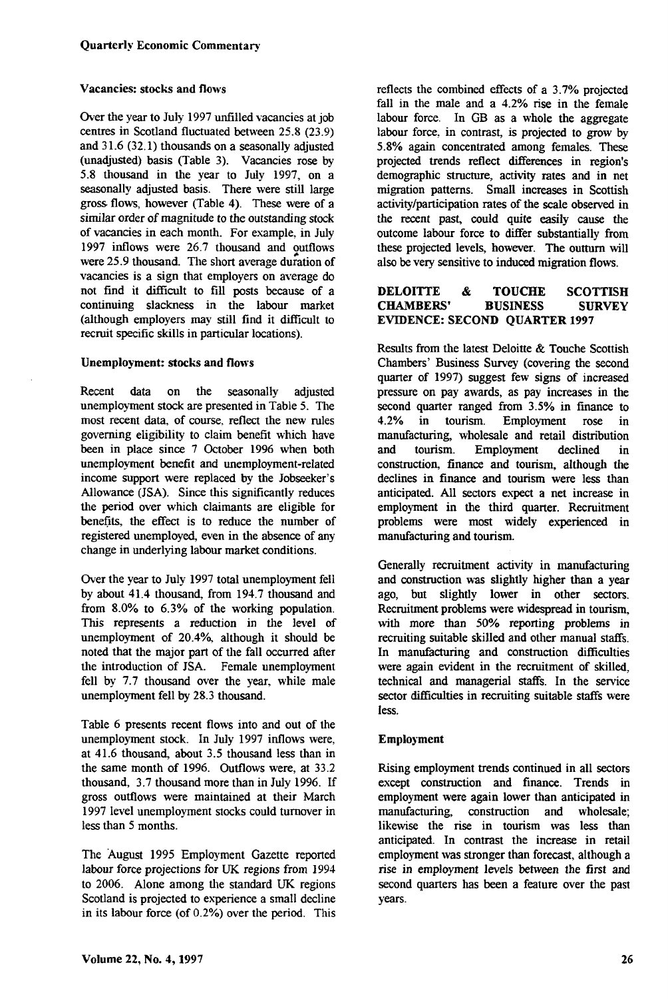#### Vacancies: stocks and flows

Over the year to July 1997 unfilled vacancies at job centres in Scotland fluctuated between 25.8 (23.9) and 31.6 (32.1) thousands on a seasonally adjusted (unadjusted) basis (Table 3). Vacancies rose by 5.8 thousand in the year to July 1997, on a seasonally adjusted basis. There were still large gross flows, however (Table 4). These were of a similar order of magnitude to the outstanding stock of vacancies in each month. For example, in July 1997 inflows were 26.7 thousand and outflows were 25.9 thousand. The short average duration of vacancies is a sign that employers on average do not find it difficult to fill posts because of a continuing slackness in the labour market (although employers may still find it difficult to recruit specific skills in particular locations).

#### Unemployment: stocks and flows

Recent data on the seasonally adjusted unemployment stock are presented in Table 5. The most recent data, of course, reflect the new rules governing eligibility to claim benefit which have been in place since 7 October 1996 when both unemployment benefit and unemployment-related income support were replaced by the Jobseeker's Allowance (JSA). Since this significantly reduces the period over which claimants are eligible for benefits, the effect is to reduce the number of registered unemployed, even in the absence of any change in underlying labour market conditions.

Over the year to July 1997 total unemployment fell by about 41.4 thousand, from 194.7 thousand and from 8.0% to 6.3% of the working population. This represents a reduction in the level of unemployment of 20.4%, although it should be noted that the major part of the fall occurred after the introduction of JSA. Female unemployment fell by 7.7 thousand over the year, while male unemployment fell by 28.3 thousand.

Table 6 presents recent flows into and out of the unemployment stock. In July 1997 inflows were, at 41.6 thousand, about 3.5 thousand less than in the same month of 1996. Outflows were, at 33.2 thousand, 3.7 thousand more than in July 1996. If gross outflows were maintained at their March 1997 level unemployment stocks could turnover in less than 5 months.

The August 1995 Employment Gazette reported labour force projections for UK regions from 1994 to 2006. Alone among the standard UK regions Scotland is projected to experience a small decline in its labour force (of 0.2%) over the period. This reflects the combined effects of a 3.7% projected fall in the male and a 4.2% rise in the female labour force. In GB as a whole the aggregate labour force, in contrast, is projected to grow by 5.8% again concentrated among females. These projected trends reflect differences in region's demographic structure, activity rates and in net migration patterns. Small increases in Scottish activity/participation rates of the scale observed in the recent past, could quite easily cause the outcome labour force to differ substantially from these projected levels, however. The outturn will also be very sensitive to induced migration flows.

#### **DELOITTE & TOUCHE SCOTTISH<br>CHAMBERS' BUSINESS SURVEY CHAMBERS'** EVIDENCE: SECOND QUARTER 1997

Results from the latest Deloitte & Touche Scottish Chambers' Business Survey (covering the second quarter of 1997) suggest few signs of increased pressure on pay awards, as pay increases in the second quarter ranged from 3.5% in finance to 4.2% in tourism. Employment rose in manufacturing, wholesale and retail distribution and tourism. Employment declined in construction, finance and tourism, although the declines in finance and tourism were less than anticipated. All sectors expect a net increase in employment in the third quarter. Recruitment problems were most widely experienced in manufacturing and tourism.

Generally recruitment activity in manufacturing and construction was slightly higher than a year ago, but slightly lower in other sectors. Recruitment problems were widespread in tourism, with more than 50% reporting problems in recruiting suitable skilled and other manual staffs. In manufacturing and construction difficulties were again evident in the recruitment of skilled, technical and managerial staffs. In the service sector difficulties in recruiting suitable staffs were less.

### Employment

Rising employment trends continued in all sectors except construction and finance. Trends in employment were again lower than anticipated in manufacturing, construction and wholesale; likewise the rise in tourism was less than anticipated. In contrast the increase in retail employment was stronger than forecast, although a rise in employment levels between the first and second quarters has been a feature over the past years.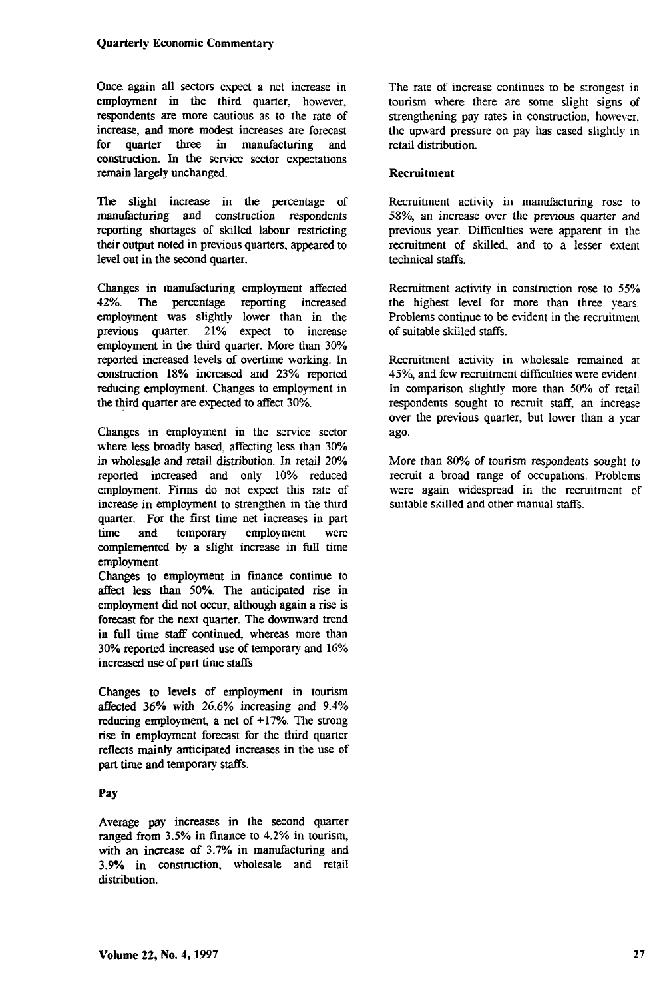Once, again all sectors expect a net increase in employment in the third quarter, however, respondents are more cautious as to the rate of increase, and more modest increases are forecast for quarter three in manufacturing and construction. In the service sector expectations remain largely unchanged.

The slight increase in the percentage of manufacturing and construction respondents reporting shortages of skilled labour restricting their output noted in previous quarters, appeared to level out in the second quarter.

Changes in manufacturing employment affected 42%. The percentage reporting increased The percentage reporting increased employment was slightly lower than in the previous quarter. 21% expect to increase employment in the third quarter. More than 30% reported increased levels of overtime working. In construction 18% increased and 23% reported reducing employment. Changes to employment in the third quarter are expected to affect 30%.

Changes in employment in the service sector where less broadly based, affecting less than 30% in wholesale and retail distribution. In retail 20% reported increased and only 10% reduced employment. Firms do not expect this rate of increase in employment to strengthen in the third quarter. For the first time net increases in part time and temporary employment were complemented by a slight increase in full time employment.

Changes to employment in finance continue to affect less than 50%. The anticipated rise in employment did not occur, although again a rise is forecast for the next quarter. The downward trend in full time staff continued, whereas more than 30% reported increased use of temporary and 16% increased use of part time staffs

Changes to levels of employment in tourism affected 36% with 26.6% increasing and 9.4% reducing employment, a net of +17%. The strong rise in employment forecast for the third quarter reflects mainly anticipated increases in the use of part time and temporary staffs.

#### **Pay**

Average pay increases in the second quarter ranged from 3.5% in finance to 4.2% in tourism, with an increase of 3.7% in manufacturing and 3.9% in construction, wholesale and retail distribution.

The rate of increase continues to be strongest in tourism where there are some slight signs of strengthening pay rates in construction, however, the upward pressure on pay has eased slightly in retail distribution.

#### **Recruitment**

Recruitment activity in manufacturing rose to 58% an increase over the previous quarter and previous year. Difficulties were apparent in the recruitment of skilled, and to a lesser extent technical staffs.

Recruitment activity in construction rose to 55% the highest level for more than three years. Problems continue to be evident in the recruitment of suitable skilled staffs.

Recruitment activity in wholesale remained at 45% and few recruitment difficulties were evident. In comparison slightly more than 50% of retail respondents sought to recruit staff, an increase over the previous quarter, but lower than a year ago.

More than 80% of tourism respondents sought to recruit a broad range of occupations. Problems were again widespread in the recruitment of suitable skilled and other manual staffs.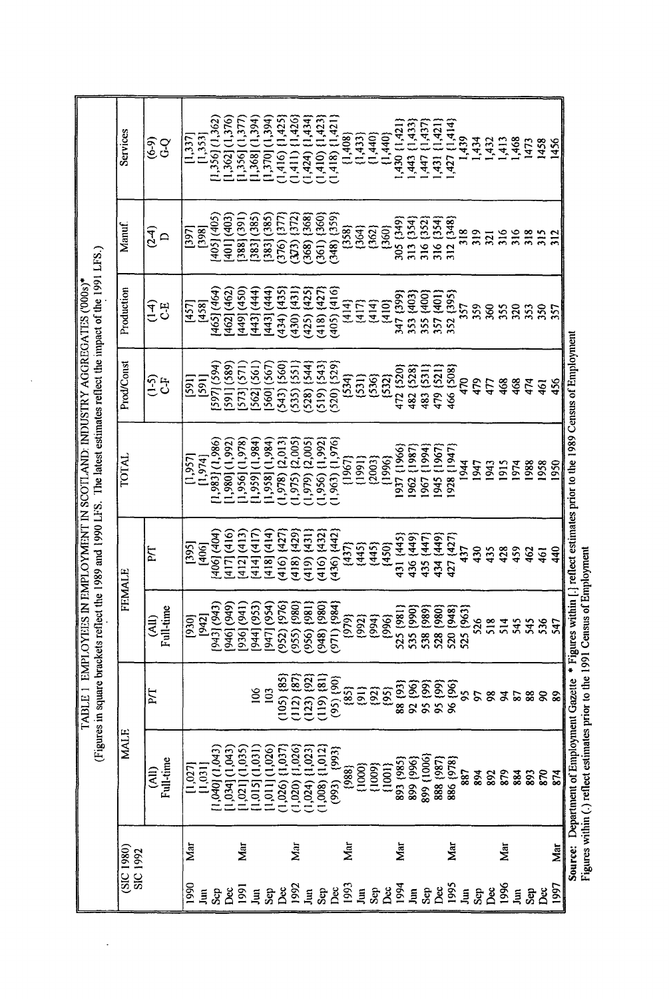|                                                                                                                                                                                           | Services                     | နှင့်<br>၁၀                           | [1,337] | [1,353]        | $[1,356]$ $(1,362)$ | 1,362] (1,376) | $[1,356]$ $(1,377)$ | $1,368$ ] $(1,394)$ | $[1,370]$ $(1,394)$ | $(1,416)$ $(1,425)$ | $(1,411)$ $(1,426)$   | $(1,424)$ $(1,434)$                 | $(1,410)$ $(1,423)$     | $(1,418)$ $(1,421)$ | (1,408)                                          | ${1,433}$ | (1,440) | (1,440) | (1,421)                                                                                                                                   | 443 (1,433)        | (1,437)<br>447.1          | (1,421)<br>431,           | ,427 {1,414} | 1,439           | ,434 | 1,432            |                   | 1,413<br>1,468<br>1473 |      | 1458           | 1456       |                                                                                                                        |
|-------------------------------------------------------------------------------------------------------------------------------------------------------------------------------------------|------------------------------|---------------------------------------|---------|----------------|---------------------|----------------|---------------------|---------------------|---------------------|---------------------|-----------------------|-------------------------------------|-------------------------|---------------------|--------------------------------------------------|-----------|---------|---------|-------------------------------------------------------------------------------------------------------------------------------------------|--------------------|---------------------------|---------------------------|--------------|-----------------|------|------------------|-------------------|------------------------|------|----------------|------------|------------------------------------------------------------------------------------------------------------------------|
|                                                                                                                                                                                           | Manuf                        | $\frac{1}{2}$                         | [397]   | [398]          | (405)(405)          | (403)<br>[401] | 388 (391            | 3831 (385           | 3831 (385)          | 376) (377           | $(373)$ $(372)$       | $(368)$ $(368)$                     | 361) {360}              | (359)               | (358)                                            | [364]     | (362)   | (360)   | 305 {349}                                                                                                                                 | 313 {354           | 316 {352                  | 316 [354]                 | 312 (348)    | 318             | 319  | $\overline{321}$ | 316               | 316                    | 318  | 315            | 312        |                                                                                                                        |
|                                                                                                                                                                                           | Production                   | न<br>न<br>$C - E$                     | [457]   | [458]          | 465] (464)          | 462] (462)     | (450) (450          | 443] (444)          | 443] (444)          | $(434)$ $(435)$     | $(430)$ $[43]$        | $(425)$ $(425)$                     | $(118)$ (427)           | $(405)$ $(416)$     | ${414}$                                          | ${417}$   | (414)   | (410)   | 347 (399)                                                                                                                                 | 353 (403)          | 355 (400)                 | 357 (401)                 | 352 (395)    | 357             | 359  | 360              | $\frac{355}{320}$ |                        | 353  | 350            | 357        |                                                                                                                        |
|                                                                                                                                                                                           | Prod/Const                   | <u>ှ</u><br>ن<br>ن                    | [591]   | [59]           | 5971 (594)          | 591] (589)     | 5731 (571)          | 562] (561)          | 560] (567)          | 543) {560           | [55]<br>535           | 528) (544)                          | 519) {543}              | 520) {529}          | ${534}$                                          | (531)     |         | (530)   | 472 {520}                                                                                                                                 | 482 {528}          | 483 (531)                 | 479 [52]                  | 466 (508)    | 470             | 479  | 477              | 468               | 468<br>474             |      | 461            | 456        |                                                                                                                        |
| (Figures in square brackets reflect the 1989 and 1990 LFS. The latest estimates reflect the impact of the 1991 LFS.)<br>EMPLOYEES IN EMPLOYMENT IN SCOTLAND: INDUSTRY AGGREGATES ('000s)* | <b>IQLOL</b>                 |                                       | [1,957] | [1,974]        | $(1,983]$ $(1,986)$ | 1,980] (1,992) | 1,956] (1,978)      | 1,959] (1,984)      | 1,958] (1,984)      | 1,978) (2,013)      | $(1,975)$ $(2,005)$   | 1,979) (2,005)                      | 1,956) {1,992]          | 1,963) {1,976}      | (1967)                                           | [1991]    | (2003)  | {1996}  | 1937 (1966)                                                                                                                               | 962 {1987}         | 967 {1994}                | 945 {1967}                | 928 (1947)   | 1944            | 1947 | 1943             | 1915              | 1974                   | 1988 | 1958           | 1950       | Source: Department of Employment Gazette * Figures within [.] reflect estimates prior to the 1989 Census of Employment |
|                                                                                                                                                                                           | FEMALE                       | ÞТ                                    | [395]   | [406]          | (406) (404)         | 417] (416)     | (412)(413)          | (414) (417)         | 418 (414)           | $(416)$ $(427)$     | $(67b)$ $(81b)$       | $(419)$ $(431)$                     | 416) {432               | 436) {442           | (437)                                            | (445)     | (445)   | (450)   | 431 {445}                                                                                                                                 | ${449}$<br>436     | (447)<br>435 <sub>1</sub> | (449)<br>434 <sub>1</sub> | 427 (427     | 437             | 430  | 435              | 428               | 459                    | 462  | $\overline{6}$ | 440        |                                                                                                                        |
|                                                                                                                                                                                           |                              | Full-time<br>(All)                    | [930]   | [942]          | (£66) [£66]         | 666) [946]     | 936] (941)          | 944] (953)          | 9471 (954)          | $(952)$ $(976)$     | (955) (980)           | 186) (956)                          | $(948)$ $(800)$         | (1261) (126)        | (979)                                            | (992)     | (994)   | (996)   | 525 (981)                                                                                                                                 | 535 (990)          | 538 (989)                 | 528 (980)                 | 520 (948)    | 525 (963)       | 526  | 518              | 514               | 545                    | 545  | 536            | 547        |                                                                                                                        |
| TABLE <sub>1</sub>                                                                                                                                                                        |                              | FД                                    |         |                |                     |                |                     | 106                 | 103                 | (105)               | និនិ<br>$\frac{1}{2}$ | $\widetilde{\mathfrak{D}}$<br>(123) | $\overline{3}$<br>(119) | ã<br>$(95)$ {       | $\overline{\mathfrak{g}}\overline{\mathfrak{g}}$ |           | (92)    | (95)    |                                                                                                                                           | 88 (93)<br>92 (96) |                           | 95 (99)<br>95 (99)        | 96 {96}      | $\overline{95}$ | 56   |                  |                   | 8358                   |      | $\infty$       | $\pmb{89}$ |                                                                                                                        |
|                                                                                                                                                                                           | <b>MALE</b>                  | Full-time<br>$\widehat{(\mathbb{R})}$ | [1,027] | [1,031]        | 1,040] (1,043)      | 1,034] (1,043) | $1,021$ ] $(1,035)$ | 1,015] (1,031       | 1,026<br>[1,011]    | (1,037)<br>(1,026)  | 1,026)<br>$(1,020)$ { | 1,024) {1,023                       | $(1,008)$ $(1,012)$     | ${993}$<br>(993)    | (988)                                            | (1000)    | (1009)  | (1001)  | 893 (985)                                                                                                                                 | 899 (996)          | 899 (1006)                | 888 (987)                 | 886 {978}    | 887             | 894  | 892              | 879               | 884                    | 893  | 870            | 874        |                                                                                                                        |
|                                                                                                                                                                                           | (SIC1980)<br><b>SIC 1992</b> |                                       | Мar     |                |                     |                | Šт                  |                     |                     |                     | Š                     |                                     |                         |                     | <b>S</b>                                         |           |         |         | Sar                                                                                                                                       |                    |                           |                           | Š            |                 |      |                  | Š                 |                        |      |                | Sar        |                                                                                                                        |
|                                                                                                                                                                                           |                              |                                       | 990     | $\overline{a}$ | $\mathbf{Sep}$      | δë             | 1991                | $\bar{z}$           | Sep                 | Dec                 | 1992                  | Jun                                 | Sep                     | Dec                 | 1993                                             |           |         |         | $\begin{array}{c}\n\exists\; \mathcal{B}\, \mathcal{B}\, \mathcal{B}\,\\ \n\mathcal{B}\, \mathcal{B}\,\\ \n\mathcal{C}\,\\ \n\end{array}$ |                    |                           | Dec                       | 1995         | $\overline{a}$  | Sep  | Dec              | 1996              | $\overline{a}$         | Sep  | Dec            | [99]       |                                                                                                                        |

Figures within (.) reflect estimates prior to the 1991 Census of Employment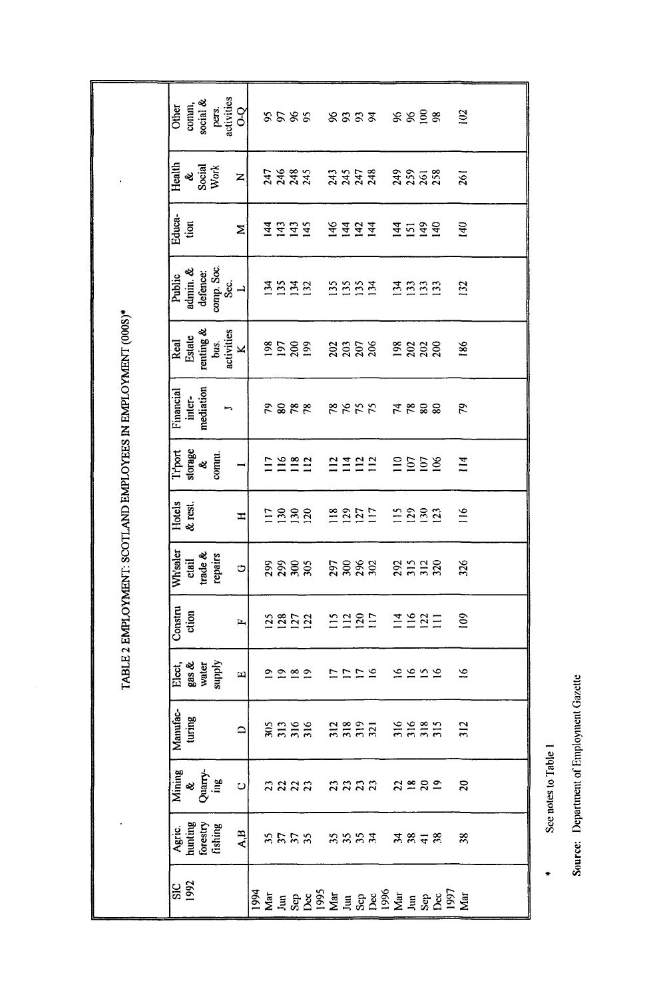|                                                           | activities<br>social &<br>comm,<br>Other<br>pers.<br>$\frac{1}{2}$   | 8588                                                  | 8898<br>8333                                                                               | 102              |
|-----------------------------------------------------------|----------------------------------------------------------------------|-------------------------------------------------------|--------------------------------------------------------------------------------------------|------------------|
|                                                           | Health<br>Social<br>Work<br>ż<br>Z                                   | 2383<br>2383                                          | 3352<br>2352<br><b>ASSES</b>                                                               | 261              |
|                                                           | Educa-<br>tion<br>Σ                                                  | 143<br>$\frac{143}{145}$<br>144                       | 146<br>149<br>$\frac{14}{4}$<br>$\overline{142}$<br>144<br>144<br>151<br>$\Xi$             | 140              |
|                                                           | comp Soc.<br>admin. &<br>defence:<br>Public<br>Sec.<br>$\rightarrow$ | ESES                                                  | 553<br>135<br>666<br>$\overline{134}$                                                      | 132              |
|                                                           | renting &<br>activities<br>Estate<br>Real<br>bus.<br>$\leq$          | 8588                                                  | ន្តន្តន្ត<br>2888                                                                          | 186              |
| LE 2 EMPLOYMENT: SCOTLAND EMPLOYEES IN EMPLOYMENT (000S)* | mediation<br>Financial<br>inter-<br>∽                                | 2828                                                  | 8855<br><b>A &amp; 88</b>                                                                  | 79               |
|                                                           | storage<br>Trport<br>comm.<br>శ<br>$\overline{ }$                    | 1281                                                  | 1422<br>$\equiv$<br>107<br>$\frac{58}{106}$<br>112                                         | $\overline{114}$ |
|                                                           | Hotels<br>& rest.<br>H                                               | 288<br>$\Xi$                                          | $\frac{25}{127}$<br>118<br>$\frac{15}{2}$<br>$\frac{29}{130}$<br>$\overline{2}$            | 116              |
|                                                           | Wh'saler<br>trade $\&$<br>repairs<br>etail<br>O                      | <b>22223</b>                                          | <u>ងខ្លួន</u><br>25228                                                                     | 326              |
|                                                           | Constru<br>ction<br>$\mathbf{L}_\mathbf{I}$                          | $128$<br>$127$<br>$122$<br>$\mathbf{5}$               | 1285<br>$III = 221$<br>$\frac{5}{11}$                                                      | $\tilde{10}$     |
| <b>EAT</b>                                                | Elect,<br>gas &<br>water<br>supply<br>ച                              | $\mathfrak{D} \mathfrak{D} \mathfrak{B} \mathfrak{D}$ | 2222 2111                                                                                  | $\approx$        |
|                                                           | Manufac-<br>turing<br>$\Box$                                         |                                                       | 30338 30353 30355 30                                                                       |                  |
|                                                           | Mining<br>&<br>Quarry-<br>ing<br>이                                   |                                                       | naan naan asas                                                                             | $\Omega$         |
|                                                           | Agric<br>hunting<br>forestry<br>fishing<br>$\overline{A}$            |                                                       | anna nana xata                                                                             | 38               |
|                                                           | <b>SIC</b><br>1992                                                   |                                                       | 1994<br>Maria 1995<br>1995<br>1995<br>1994<br>1996<br>1996<br>1996<br>1996<br>1996<br>1996 |                  |

Source: Department of Employment Gazette

See notes to Table 1

 $\ddot{\phantom{0}}$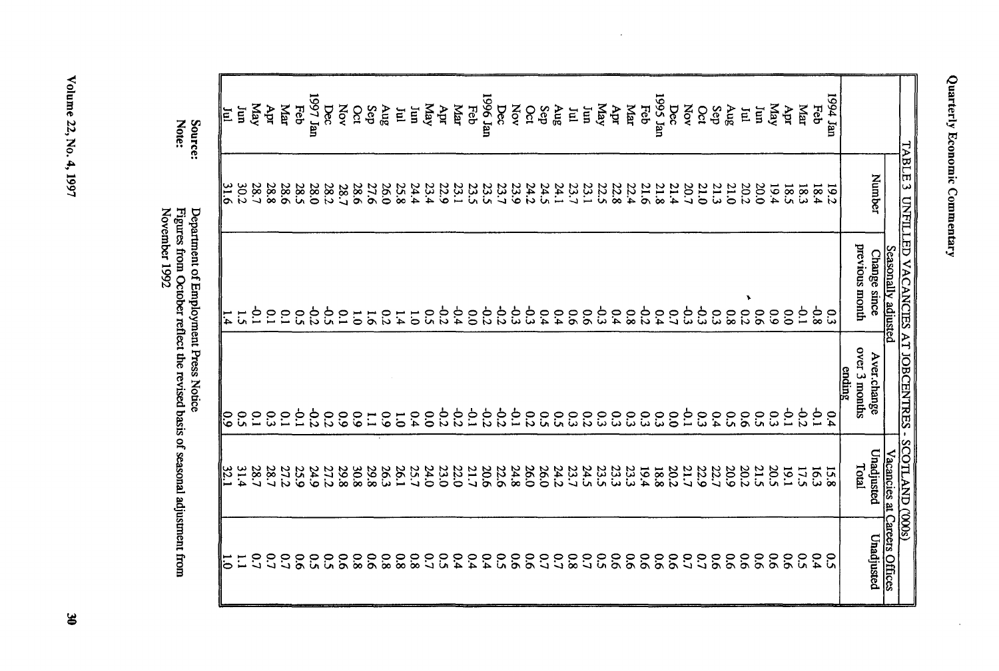| ĺ<br>ι |
|--------|
|        |

 $\sim$ 

| 1997 Jan<br>1995 Jan<br>1994 Jan<br>1996 Jan<br>May<br>Yay<br>Yay<br>KeM<br>Маг<br>Apr<br>Feb<br>Dec<br>Feb<br>Dec<br>XOV<br>Apr<br>$\Delta$ ec<br>Yov<br>Apr<br>Каr<br>Feb<br><b>Aug</b><br>Feb<br>Mar<br><b>NOV</b><br>Mar<br>Oct<br>Sep<br>$\mathbf{F}$<br>Oct<br>8nV<br>ίщ<br>$\Delta u_S$<br>ίщ<br>das<br>Oct<br>Sep<br>Apr<br>Ιun<br>E<br>E<br>E<br>Number<br>30.2<br>28.7<br>28.8<br>23.4<br>22.9<br>23.7<br>28.6<br>28.5<br>28.0<br>28.6<br>27.6<br>26.0<br>25.8<br>24.4<br>23.1<br>23.5<br>23.7<br>23.9<br>24.2<br>24.1<br>23.1<br>22.5<br>22.8<br>22.4<br>21.6<br>21.8<br>21.4<br>20.7<br>21.3<br>21.0<br>20.2<br>0.02<br>18.4<br>28.2<br>23.5<br>24.3<br>21.0<br><b>19.2</b><br>28.7<br>19.4<br>18.5<br>18.3<br>previous month<br>Seasonally adjusted<br>Change since<br>¥<br>$-0.2$<br>$-0.4$<br>$-0.2$<br>$-0.2$<br>نچ<br>-0.3<br>م<br>و<br>ςp<br>$\overline{C}$<br>$-0.2$<br>-0.2<br>φ.<br>$-0.8$<br>ξÈ<br>$\overline{6}$<br>$\tilde{c}$<br>خ<br>د<br>$\overline{6}$<br>64<br>$80^{\circ}$<br>0.2<br>$60^{\circ}$<br>$\tilde{c}$<br>$\frac{0}{2}$<br>$\overline{c}$<br>0.4<br>0.4<br>$\overline{9}$<br>0.4<br>$\mathcal{L}^{\bullet}$<br>ςő<br>$\overline{\phantom{0}80}$<br>$\overline{0.0}$<br>$\tilde{c}$<br>$\tilde{C}$<br>$\tilde{c}$<br>$\overline{c}$<br>$\overline{5}$<br>1.4<br>$\overline{0}$<br>$\overline{0}$<br>51<br>over 3 months<br>Aver.change<br><u>ending</u><br>$-0.2$<br>$-0.2$<br>ج.<br>$\frac{2}{3}$<br>2.2<br>p.1<br>$\overline{5}$<br>$\overline{5}$<br>0.2<br>$\overline{5}$<br>ç.<br>2.2<br>$\overline{c}$<br>9.6<br>33<br>$\tilde{C}$<br>$\tilde{\omega}$<br>$\overline{0}$<br>ς3<br>$\overline{0}$<br>35<br>$5^{\circ}$<br>$5^{\circ}$<br>$5^{\circ}$<br>$\tilde{C}$<br>$\overline{c}$ 0<br>64<br>$5^{\circ}$<br>$\tilde{c}$<br>$\tilde{\omega}$<br>$\overline{c}$<br>$\mathfrak{S}$<br>$5^{\circ}$<br>្ល<br>$\tilde{\omega}$<br>0.4<br>6.4<br>$\overline{6}$<br>$\tilde{6}$<br>$\frac{6}{6}$<br>$\overline{0}$<br>$\overline{1}$ |
|------------------------------------------------------------------------------------------------------------------------------------------------------------------------------------------------------------------------------------------------------------------------------------------------------------------------------------------------------------------------------------------------------------------------------------------------------------------------------------------------------------------------------------------------------------------------------------------------------------------------------------------------------------------------------------------------------------------------------------------------------------------------------------------------------------------------------------------------------------------------------------------------------------------------------------------------------------------------------------------------------------------------------------------------------------------------------------------------------------------------------------------------------------------------------------------------------------------------------------------------------------------------------------------------------------------------------------------------------------------------------------------------------------------------------------------------------------------------------------------------------------------------------------------------------------------------------------------------------------------------------------------------------------------------------------------------------------------------------------------------------------------------------------------------------------------------------------------------------------------------------------------------------------------------------------------------------------------------------|
|                                                                                                                                                                                                                                                                                                                                                                                                                                                                                                                                                                                                                                                                                                                                                                                                                                                                                                                                                                                                                                                                                                                                                                                                                                                                                                                                                                                                                                                                                                                                                                                                                                                                                                                                                                                                                                                                                                                                                                              |
|                                                                                                                                                                                                                                                                                                                                                                                                                                                                                                                                                                                                                                                                                                                                                                                                                                                                                                                                                                                                                                                                                                                                                                                                                                                                                                                                                                                                                                                                                                                                                                                                                                                                                                                                                                                                                                                                                                                                                                              |
|                                                                                                                                                                                                                                                                                                                                                                                                                                                                                                                                                                                                                                                                                                                                                                                                                                                                                                                                                                                                                                                                                                                                                                                                                                                                                                                                                                                                                                                                                                                                                                                                                                                                                                                                                                                                                                                                                                                                                                              |
|                                                                                                                                                                                                                                                                                                                                                                                                                                                                                                                                                                                                                                                                                                                                                                                                                                                                                                                                                                                                                                                                                                                                                                                                                                                                                                                                                                                                                                                                                                                                                                                                                                                                                                                                                                                                                                                                                                                                                                              |
|                                                                                                                                                                                                                                                                                                                                                                                                                                                                                                                                                                                                                                                                                                                                                                                                                                                                                                                                                                                                                                                                                                                                                                                                                                                                                                                                                                                                                                                                                                                                                                                                                                                                                                                                                                                                                                                                                                                                                                              |
|                                                                                                                                                                                                                                                                                                                                                                                                                                                                                                                                                                                                                                                                                                                                                                                                                                                                                                                                                                                                                                                                                                                                                                                                                                                                                                                                                                                                                                                                                                                                                                                                                                                                                                                                                                                                                                                                                                                                                                              |
|                                                                                                                                                                                                                                                                                                                                                                                                                                                                                                                                                                                                                                                                                                                                                                                                                                                                                                                                                                                                                                                                                                                                                                                                                                                                                                                                                                                                                                                                                                                                                                                                                                                                                                                                                                                                                                                                                                                                                                              |
|                                                                                                                                                                                                                                                                                                                                                                                                                                                                                                                                                                                                                                                                                                                                                                                                                                                                                                                                                                                                                                                                                                                                                                                                                                                                                                                                                                                                                                                                                                                                                                                                                                                                                                                                                                                                                                                                                                                                                                              |
|                                                                                                                                                                                                                                                                                                                                                                                                                                                                                                                                                                                                                                                                                                                                                                                                                                                                                                                                                                                                                                                                                                                                                                                                                                                                                                                                                                                                                                                                                                                                                                                                                                                                                                                                                                                                                                                                                                                                                                              |
|                                                                                                                                                                                                                                                                                                                                                                                                                                                                                                                                                                                                                                                                                                                                                                                                                                                                                                                                                                                                                                                                                                                                                                                                                                                                                                                                                                                                                                                                                                                                                                                                                                                                                                                                                                                                                                                                                                                                                                              |
|                                                                                                                                                                                                                                                                                                                                                                                                                                                                                                                                                                                                                                                                                                                                                                                                                                                                                                                                                                                                                                                                                                                                                                                                                                                                                                                                                                                                                                                                                                                                                                                                                                                                                                                                                                                                                                                                                                                                                                              |
|                                                                                                                                                                                                                                                                                                                                                                                                                                                                                                                                                                                                                                                                                                                                                                                                                                                                                                                                                                                                                                                                                                                                                                                                                                                                                                                                                                                                                                                                                                                                                                                                                                                                                                                                                                                                                                                                                                                                                                              |
|                                                                                                                                                                                                                                                                                                                                                                                                                                                                                                                                                                                                                                                                                                                                                                                                                                                                                                                                                                                                                                                                                                                                                                                                                                                                                                                                                                                                                                                                                                                                                                                                                                                                                                                                                                                                                                                                                                                                                                              |
|                                                                                                                                                                                                                                                                                                                                                                                                                                                                                                                                                                                                                                                                                                                                                                                                                                                                                                                                                                                                                                                                                                                                                                                                                                                                                                                                                                                                                                                                                                                                                                                                                                                                                                                                                                                                                                                                                                                                                                              |
|                                                                                                                                                                                                                                                                                                                                                                                                                                                                                                                                                                                                                                                                                                                                                                                                                                                                                                                                                                                                                                                                                                                                                                                                                                                                                                                                                                                                                                                                                                                                                                                                                                                                                                                                                                                                                                                                                                                                                                              |
|                                                                                                                                                                                                                                                                                                                                                                                                                                                                                                                                                                                                                                                                                                                                                                                                                                                                                                                                                                                                                                                                                                                                                                                                                                                                                                                                                                                                                                                                                                                                                                                                                                                                                                                                                                                                                                                                                                                                                                              |
|                                                                                                                                                                                                                                                                                                                                                                                                                                                                                                                                                                                                                                                                                                                                                                                                                                                                                                                                                                                                                                                                                                                                                                                                                                                                                                                                                                                                                                                                                                                                                                                                                                                                                                                                                                                                                                                                                                                                                                              |
|                                                                                                                                                                                                                                                                                                                                                                                                                                                                                                                                                                                                                                                                                                                                                                                                                                                                                                                                                                                                                                                                                                                                                                                                                                                                                                                                                                                                                                                                                                                                                                                                                                                                                                                                                                                                                                                                                                                                                                              |
|                                                                                                                                                                                                                                                                                                                                                                                                                                                                                                                                                                                                                                                                                                                                                                                                                                                                                                                                                                                                                                                                                                                                                                                                                                                                                                                                                                                                                                                                                                                                                                                                                                                                                                                                                                                                                                                                                                                                                                              |
|                                                                                                                                                                                                                                                                                                                                                                                                                                                                                                                                                                                                                                                                                                                                                                                                                                                                                                                                                                                                                                                                                                                                                                                                                                                                                                                                                                                                                                                                                                                                                                                                                                                                                                                                                                                                                                                                                                                                                                              |
|                                                                                                                                                                                                                                                                                                                                                                                                                                                                                                                                                                                                                                                                                                                                                                                                                                                                                                                                                                                                                                                                                                                                                                                                                                                                                                                                                                                                                                                                                                                                                                                                                                                                                                                                                                                                                                                                                                                                                                              |
|                                                                                                                                                                                                                                                                                                                                                                                                                                                                                                                                                                                                                                                                                                                                                                                                                                                                                                                                                                                                                                                                                                                                                                                                                                                                                                                                                                                                                                                                                                                                                                                                                                                                                                                                                                                                                                                                                                                                                                              |
|                                                                                                                                                                                                                                                                                                                                                                                                                                                                                                                                                                                                                                                                                                                                                                                                                                                                                                                                                                                                                                                                                                                                                                                                                                                                                                                                                                                                                                                                                                                                                                                                                                                                                                                                                                                                                                                                                                                                                                              |
|                                                                                                                                                                                                                                                                                                                                                                                                                                                                                                                                                                                                                                                                                                                                                                                                                                                                                                                                                                                                                                                                                                                                                                                                                                                                                                                                                                                                                                                                                                                                                                                                                                                                                                                                                                                                                                                                                                                                                                              |
|                                                                                                                                                                                                                                                                                                                                                                                                                                                                                                                                                                                                                                                                                                                                                                                                                                                                                                                                                                                                                                                                                                                                                                                                                                                                                                                                                                                                                                                                                                                                                                                                                                                                                                                                                                                                                                                                                                                                                                              |
|                                                                                                                                                                                                                                                                                                                                                                                                                                                                                                                                                                                                                                                                                                                                                                                                                                                                                                                                                                                                                                                                                                                                                                                                                                                                                                                                                                                                                                                                                                                                                                                                                                                                                                                                                                                                                                                                                                                                                                              |
|                                                                                                                                                                                                                                                                                                                                                                                                                                                                                                                                                                                                                                                                                                                                                                                                                                                                                                                                                                                                                                                                                                                                                                                                                                                                                                                                                                                                                                                                                                                                                                                                                                                                                                                                                                                                                                                                                                                                                                              |
|                                                                                                                                                                                                                                                                                                                                                                                                                                                                                                                                                                                                                                                                                                                                                                                                                                                                                                                                                                                                                                                                                                                                                                                                                                                                                                                                                                                                                                                                                                                                                                                                                                                                                                                                                                                                                                                                                                                                                                              |
|                                                                                                                                                                                                                                                                                                                                                                                                                                                                                                                                                                                                                                                                                                                                                                                                                                                                                                                                                                                                                                                                                                                                                                                                                                                                                                                                                                                                                                                                                                                                                                                                                                                                                                                                                                                                                                                                                                                                                                              |
|                                                                                                                                                                                                                                                                                                                                                                                                                                                                                                                                                                                                                                                                                                                                                                                                                                                                                                                                                                                                                                                                                                                                                                                                                                                                                                                                                                                                                                                                                                                                                                                                                                                                                                                                                                                                                                                                                                                                                                              |
|                                                                                                                                                                                                                                                                                                                                                                                                                                                                                                                                                                                                                                                                                                                                                                                                                                                                                                                                                                                                                                                                                                                                                                                                                                                                                                                                                                                                                                                                                                                                                                                                                                                                                                                                                                                                                                                                                                                                                                              |
|                                                                                                                                                                                                                                                                                                                                                                                                                                                                                                                                                                                                                                                                                                                                                                                                                                                                                                                                                                                                                                                                                                                                                                                                                                                                                                                                                                                                                                                                                                                                                                                                                                                                                                                                                                                                                                                                                                                                                                              |
|                                                                                                                                                                                                                                                                                                                                                                                                                                                                                                                                                                                                                                                                                                                                                                                                                                                                                                                                                                                                                                                                                                                                                                                                                                                                                                                                                                                                                                                                                                                                                                                                                                                                                                                                                                                                                                                                                                                                                                              |
|                                                                                                                                                                                                                                                                                                                                                                                                                                                                                                                                                                                                                                                                                                                                                                                                                                                                                                                                                                                                                                                                                                                                                                                                                                                                                                                                                                                                                                                                                                                                                                                                                                                                                                                                                                                                                                                                                                                                                                              |
|                                                                                                                                                                                                                                                                                                                                                                                                                                                                                                                                                                                                                                                                                                                                                                                                                                                                                                                                                                                                                                                                                                                                                                                                                                                                                                                                                                                                                                                                                                                                                                                                                                                                                                                                                                                                                                                                                                                                                                              |
|                                                                                                                                                                                                                                                                                                                                                                                                                                                                                                                                                                                                                                                                                                                                                                                                                                                                                                                                                                                                                                                                                                                                                                                                                                                                                                                                                                                                                                                                                                                                                                                                                                                                                                                                                                                                                                                                                                                                                                              |
|                                                                                                                                                                                                                                                                                                                                                                                                                                                                                                                                                                                                                                                                                                                                                                                                                                                                                                                                                                                                                                                                                                                                                                                                                                                                                                                                                                                                                                                                                                                                                                                                                                                                                                                                                                                                                                                                                                                                                                              |
|                                                                                                                                                                                                                                                                                                                                                                                                                                                                                                                                                                                                                                                                                                                                                                                                                                                                                                                                                                                                                                                                                                                                                                                                                                                                                                                                                                                                                                                                                                                                                                                                                                                                                                                                                                                                                                                                                                                                                                              |
|                                                                                                                                                                                                                                                                                                                                                                                                                                                                                                                                                                                                                                                                                                                                                                                                                                                                                                                                                                                                                                                                                                                                                                                                                                                                                                                                                                                                                                                                                                                                                                                                                                                                                                                                                                                                                                                                                                                                                                              |
|                                                                                                                                                                                                                                                                                                                                                                                                                                                                                                                                                                                                                                                                                                                                                                                                                                                                                                                                                                                                                                                                                                                                                                                                                                                                                                                                                                                                                                                                                                                                                                                                                                                                                                                                                                                                                                                                                                                                                                              |
|                                                                                                                                                                                                                                                                                                                                                                                                                                                                                                                                                                                                                                                                                                                                                                                                                                                                                                                                                                                                                                                                                                                                                                                                                                                                                                                                                                                                                                                                                                                                                                                                                                                                                                                                                                                                                                                                                                                                                                              |
| TABLE 3 UNFILLED VACANCIES AT JOBCENTRES - SCOTLAND (000s)                                                                                                                                                                                                                                                                                                                                                                                                                                                                                                                                                                                                                                                                                                                                                                                                                                                                                                                                                                                                                                                                                                                                                                                                                                                                                                                                                                                                                                                                                                                                                                                                                                                                                                                                                                                                                                                                                                                   |

 $\sim$ 

Source:<br>Note:

 $|\Xi|$ 

Department of Employment Press Notice<br>Figures from October reflect the revised basis of seasonal adjustment from<br>November 1992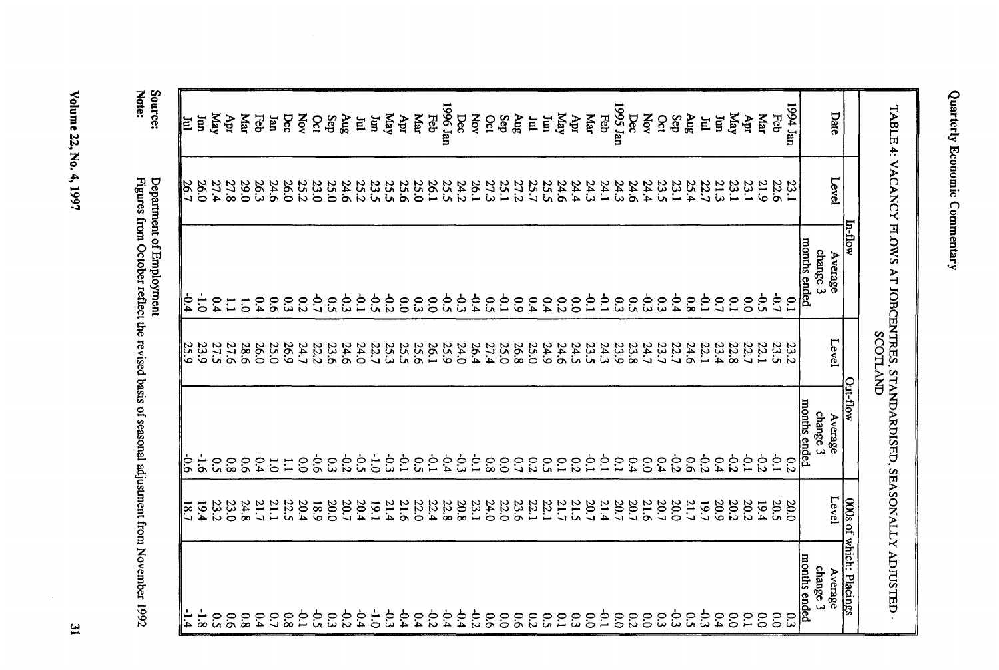| Date            | Level            | TABLE 4: VACANCY FLOWS AT JOBCENTRES, STANDARDISED, SEASONALLY ADJUSTED<br>In-flow<br>Average | <b>SCOTLAND</b><br>Level | Out-flow<br>Average      |                                                     |
|-----------------|------------------|-----------------------------------------------------------------------------------------------|--------------------------|--------------------------|-----------------------------------------------------|
|                 |                  | months ended<br>change 3                                                                      |                          | months ended<br>change 3 | Level<br>000s of                                    |
| uer b661<br>Feb | 22.6<br>23.1     | Š<br>$\mathbf{C}$                                                                             | 23.5<br>23.2             | خ.<br>$\overline{c}$     | 20.5<br>20.0                                        |
| Mar             | 21.9             | $\mathfrak{S}$                                                                                | 22.1                     | $-0.2$                   | 19.4                                                |
| Apr             | 23.1             | $\tilde{c}$                                                                                   | 22.7                     | $\overline{6}$           | 20.2                                                |
| KeM             | 23.1             | $\tilde{C}$                                                                                   | 22.8                     | 32                       | 20.2                                                |
| Ĕ               | 21.3             | $\overline{C}$                                                                                | 23.4                     | 0.4                      | 20.9                                                |
| 旨               |                  | ξ                                                                                             | 22.1                     | $\mathfrak{S}2$          | 61                                                  |
| <b>Sny</b>      | 25.7             | $80^{\circ}$                                                                                  | 24.6                     | $\tilde{5}$              |                                                     |
| Sep             | 23.1             | $+0.4$                                                                                        | 22.7                     | $\frac{6}{5}$            |                                                     |
| $\delta$        | 23.5             | $\tilde{\omega}$                                                                              | 23.7                     | 0.4                      | $\begin{array}{c} 21.7 \\ 20.0 \\ 20.7 \end{array}$ |
| Nov             | 24.4             | έř                                                                                            | 24.7                     | $\tilde{c}$              | 21.6                                                |
| Dec             | 24.6             |                                                                                               | 23.8                     | 0.4                      |                                                     |
| 1995 Jan        | 24.3             | 0.9                                                                                           | 23.9                     | $\tilde{c}$              | 20.7                                                |
| Feb             | 24.1             | ξ,                                                                                            | 24.3                     | ج.<br>-                  | 21.4                                                |
| $M_{\text{AT}}$ | 24.3             | $\overline{10}$                                                                               | 23.5                     | $\frac{1}{2}$            | 20.7                                                |
| Арт             | 24.4             | $\mathbf{c}$                                                                                  | 24.5                     | $\overline{c}$           |                                                     |
| May             | 24.6             | 0.2                                                                                           | 24.6                     | $\tilde{C}$              | 21.5<br>21.7                                        |
| E               |                  | 6.4                                                                                           | 24.9                     | $5^{\circ}$              |                                                     |
| E               | 25.5<br>25.7     | 6.4                                                                                           | 25.0                     | $\overline{c}$           | $\frac{22.1}{22.1}$                                 |
| Aug             |                  | 60                                                                                            | 26.8                     | $\overline{c}$           |                                                     |
| Sep             | 27.2<br>25.1     | $\ddot{\circ}$                                                                                | 25.0                     | $\overline{0}$           | 23.6<br>22.0                                        |
| Oct             | 27.3             | $\tilde{\mathbf{c}}$                                                                          | 27.4                     | $80^{\circ}$             | 24.0                                                |
| Nov             | 26.1             | $-0.4$                                                                                        | 26.4                     | $\frac{1}{2}$            | 23.1                                                |
| Dec             | 24.2             | م<br>ج                                                                                        | 24.0                     | έp                       | 20.8                                                |
| uer 9661        | 25.5             | ς,                                                                                            | 25.9                     | $-0.4$                   | 22.8                                                |
| Feb             | 26.1             | 0.0                                                                                           | $\frac{26.1}{20}$        | $\dot{c}$                | 22.4                                                |
| Каг             | 25.0             | $\tilde{\omega}$                                                                              | 25.6                     | $\tilde{\mathbf{c}}$     | 22.0                                                |
| Apr             | 25.6             | $\overline{0}$                                                                                | 25.5                     | $\overline{0}$           | 21.6                                                |
| May             | 25.5             | 63                                                                                            | 25.3                     | م<br>م                   | 21.4                                                |
| Ιmι             | 23.5             | ς.<br>Θ                                                                                       | 22.7                     | $\ddot{o}$               | 1,9.1                                               |
| E               | 25.2             | $\dot{5}$                                                                                     | 24.0                     | ς,                       | 20.4                                                |
| Aug             | 24.6             | ξp                                                                                            | 24.6                     | -92                      |                                                     |
| Sep             | 25.0             | $5^{\circ}$                                                                                   | 23.6                     | 53                       | 0.02                                                |
| Oct             | 23.0             | $\ddot{c}$                                                                                    | 22.2                     | 6.6                      | 18.9                                                |
| Nov             | 25.2             | $\overline{c}$                                                                                | 24.7                     | $\tilde{c}$              | 20.4                                                |
| Dec             | 26.0             | 33                                                                                            | 26.9                     | $\overline{1}$           | 22.5                                                |
| uer             | 24.6             | $\tilde{\mathbf{c}}$                                                                          | 25.0                     | $\overline{5}$           | 21.1                                                |
| Feb             | 26.3             | 64                                                                                            | 26.0                     | 64                       | 21.7                                                |
|                 |                  |                                                                                               |                          |                          |                                                     |
| Каr             | 29.0             | $\overline{5}$                                                                                | 28.6                     | $\rm ^{5}$               | 24.8                                                |
| ਖੁੱ             | 27.8             | $\Xi$                                                                                         | 27.6                     | $\overline{80}$          | 23.0                                                |
| KeM             | 27.4             | $\overline{5}$                                                                                | 27.5                     | ິດ                       | 23.2                                                |
| Ĕ               | 26.0             | $\overline{5}$                                                                                | 23.9                     | $\tilde{\sigma}$         | 19.4                                                |
| E               | $\frac{26.7}{2}$ | -0<br>4                                                                                       | 25.9                     | ⊝<br>                    | $\frac{18.7}{2}$                                    |

Volume 22, No. 4, 1997

 $\sim$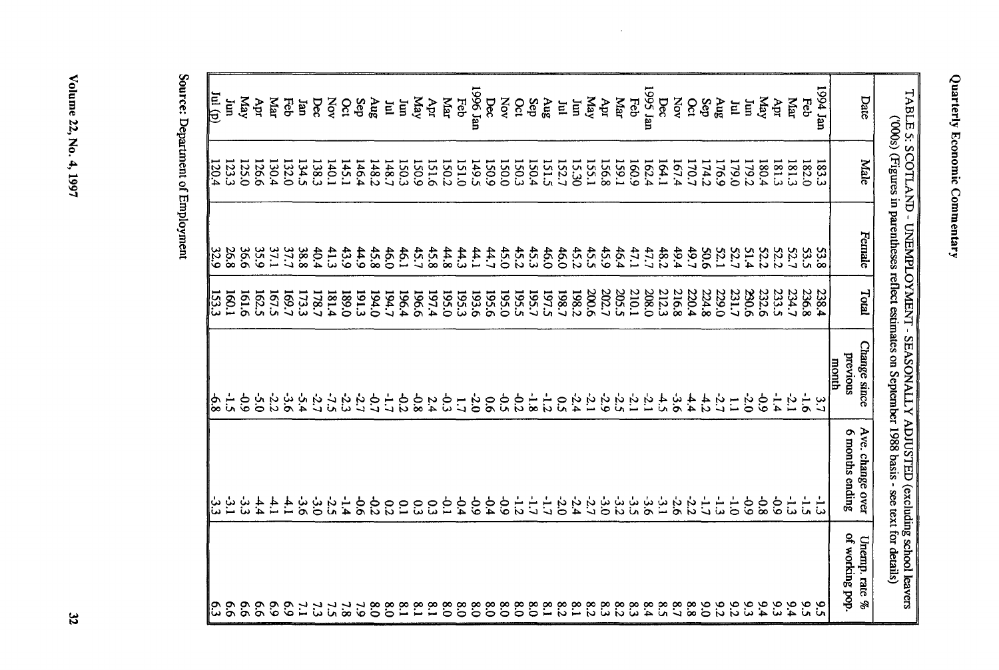| 9.6                     | ٺي                                                                                                | –់<br>ហ                 | 1.60.1       | 26.8        | 123.3        | Ē                |
|-------------------------|---------------------------------------------------------------------------------------------------|-------------------------|--------------|-------------|--------------|------------------|
| 9.6                     | ىن<br>سا                                                                                          | $60 -$                  | <b>161.6</b> | 36.6        | 125.0        | Kay              |
| $\overline{9}$          | 4.4                                                                                               | 5.0                     | 162.5        | 35.9        | 126.6        | Apr              |
| $\mathbf{63}$           | 4.                                                                                                | $-2.2$                  | 523          | 37.1        | 130.4        | Маг              |
| $\mathcal{S}$           | $\ddot{+}$                                                                                        | مان<br>6                | 169.7        | 37.7        | 132.0        | Feb              |
| $\mathbf{L}$            | ن<br>9                                                                                            | ۲Ċ<br>A                 | <b>173.3</b> | 38.8        | 134.5        | Jan              |
| 53                      | ن<br>0                                                                                            | ċ                       | 178.7        | 40.4        | 138.3        | Dec              |
|                         | -2.5                                                                                              | $\frac{1}{16}$          | 181.4        | 41.3        | 140.1        | NOV              |
| $\overline{\mathbf{8}}$ | $-1.4$                                                                                            | ή,                      | 0'681        | 43.9        | 145.1        | $\infty$         |
| 52                      | $\frac{6}{9}$                                                                                     | ら                       | <b>191.3</b> | 44.9        | 146.4        | Sep              |
| $\frac{8}{5}$           | 62                                                                                                | $\ddot{\sigma}$         | 194.0        | 45.8        | 148.2        | $\delta$ ny      |
| $\frac{8}{2}$           | $\overline{c}$                                                                                    | Ė                       | 194.7        | 46.0        | 148.7        | E                |
| $\overline{18}$         | <b>C.1</b>                                                                                        | $\frac{6}{5}$           | 196.4        | 46.1        | 150.3        | Ĕ                |
|                         |                                                                                                   |                         |              |             |              |                  |
| $\frac{8}{10}$          | <u>င</u> ္ပ                                                                                       | 9.8                     | 196.6        | 45.7        | <b>150.9</b> | Kay              |
| $\frac{8}{1}$           | င္ပ                                                                                               | 2.4                     | 197.4        | 45.8        | 151.6        | Apr              |
| $\frac{8}{2}$           | $\overline{5}$                                                                                    | م<br>ت                  | 0.561        | 44.8        | 150.2        | Маг              |
| $\frac{8}{3}$           | -0.4                                                                                              | $\overline{C}$          | <b>1953</b>  | 44.3        | 151.0        | Feb              |
| $\frac{8}{3}$           | $\frac{6}{3}$                                                                                     | 2.0                     | 193.6        | 44.1        | 149.5        | uer 9661         |
| $\frac{8}{5}$           | $-9.4$                                                                                            | $\overline{9}$          | 195.6        | 44.7        | <b>150.9</b> | Dec              |
| ိ                       | $60^{\circ}$                                                                                      | خ<br>ت                  | 0.50         | 45.0        | 150.0        | Nov              |
| $\frac{8}{2}$           | $-1.2$                                                                                            | 22                      | 195.5        | 45.2        | 150.3        | Oct              |
| $\tilde{0}$             | $\frac{1}{2}$                                                                                     | $-1.8$                  | 195.7        | 45.3        | 150.4        | Sep              |
|                         | Ė                                                                                                 | $\frac{1}{\mathcal{L}}$ |              |             |              | gny              |
| $\frac{8}{10}$          |                                                                                                   |                         | 5'161        | 46.0        | 151.5        |                  |
| $\frac{8}{5}$           | $50^{\circ}$                                                                                      | ິດ                      | 198.7        | 46.0        | 152.7        | E                |
| $\overline{18}$         | $-2.4$                                                                                            | $-2.4$                  | 1982         | 45.2        | 15.30        | Ξ                |
| $\frac{8}{3}$           | ĽĊ.                                                                                               | ċ                       | 200.6        | 45.5        | 155.1        | Kay              |
| 8.3                     | ن<br>0`0                                                                                          | $-2.9$                  | 202.7        | 45.9        | 156.8        | Apr              |
| $\overline{c}$          | ن<br>ت                                                                                            | $5\overline{5}$         | 205.5        | 46.4        | 1.99.1       | Mar              |
| $\mathbf{3}$            | ىل<br>ما                                                                                          | $\overline{5}$          | 210.1        | 47.1        | 160.9        | Feb              |
| 6.4                     | ن<br>6                                                                                            | $\mathcal{L}$           | 208.0        | 47.7        | 162.4        | 1995 Jan         |
| $\frac{8}{5}$           | ىئ                                                                                                | $+1$                    | 212.3        | 48.2        | 164.1        | Dec              |
|                         |                                                                                                   |                         |              |             |              |                  |
| $\frac{8}{7}$           | $-2.6$                                                                                            | ې<br>9                  | 216.8        | 49.4        | 167.4        | XOV              |
| $\frac{8}{8}$           | 22                                                                                                | 4.4                     | 220.4        | 49.7        | 170.7        | $\infty$         |
| $\delta$                | $\ddot{z}$                                                                                        | 4.2                     | 224.8        | <b>50.6</b> | 174.2        | Sep              |
| 55                      | ىل<br>ما                                                                                          | 5.1                     | 229.0        | <b>52.1</b> | 176.9        | gny              |
| $\frac{9.2}{2}$         | $\frac{1}{\mathcal{O}}$                                                                           | $\mathbf{r}$            | 231.7        | 52.7        | 179.0        | E                |
| 93                      | $60^{\circ}$                                                                                      | 2.0                     | 230.6        | 51.4        | 179.2        | Ξ                |
| 64                      | 6.8                                                                                               | $\frac{6}{3}$           | 232.6        | <b>52.2</b> | 180.4        | KeM              |
| 9.3                     | $60 -$                                                                                            | ۔<br>ظ                  | 233.5        | S2.2        | 181.3        | Apr              |
| 6.4                     | بــ<br>ننا                                                                                        | $\sim$                  | 234.7        | 52.7        | 181.3        | Mar              |
| ა<br>ა                  | $-1.5$                                                                                            | $\overline{5}$          | 236.8        | 53.5        | 182.0        | Eep              |
| 56                      |                                                                                                   |                         | 238.4        | <b>53.8</b> | 183.3        | uer <i>r</i> 661 |
|                         |                                                                                                   | month                   |              |             |              |                  |
| of working pop.         | 6 months ending                                                                                   | previous                |              |             |              |                  |
| Unemp. rate $\%$        | Ave. change over                                                                                  | Change since            | Total        | Female      | Male         | Date             |
|                         |                                                                                                   |                         |              |             |              |                  |
|                         | ('000s) (Figures in parentheses reflect estimates on September 1988 basis - see text for details) |                         |              |             |              |                  |
|                         | TABLE 5: SCOTLAND - UNEMPLOYMENT - SEASONALLY ADJUSTED (excluding school leavers                  |                         |              |             |              |                  |

 $\mathcal{L}$ 

Source: Department of Employment

 $\frac{Jul}{d}$ 

 $\frac{120.4}{ }$ 

 $\frac{32.9}{22.9}$  153.3

 $\frac{1}{8}$ 

ن<br>أن

 $\frac{6.3}{2}$ 

Volume 22, No. 4, 1997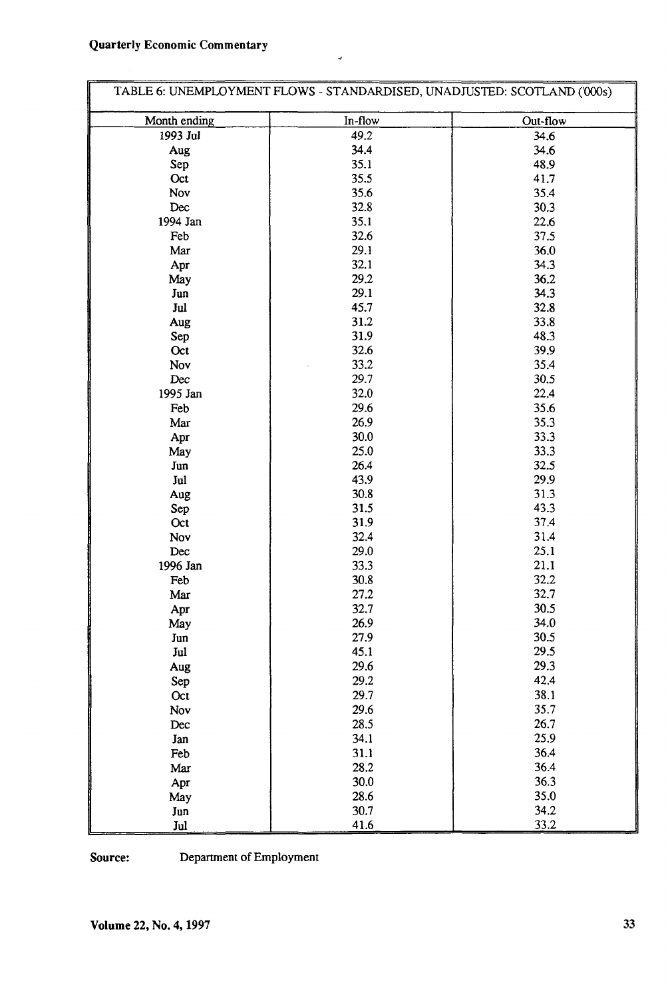## Quarterly Economic Commentary

|                | TABLE 6: UNEMPLOYMENT FLOWS - STANDARDISED, UNADJUSTED: SCOTLAND ('000s) |          |
|----------------|--------------------------------------------------------------------------|----------|
| Month ending   | In-flow                                                                  | Out-flow |
| 1993 Jul       | 49.2                                                                     | 34.6     |
| Aug            | 34.4                                                                     | 34.6     |
| Sep            | 35.1                                                                     | 48.9     |
| Oct            | 35.5                                                                     | 41.7     |
| Nov            | 35.6                                                                     | 35.4     |
| Dec            | 32.8                                                                     | 30.3     |
| 1994 Jan       | 35.1                                                                     | 22.6     |
| Feb            | 32.6                                                                     | 37.5     |
| Mar            | 29.1                                                                     | 36.0     |
| Apr            | 32.1                                                                     | 34.3     |
| May            | 29.2                                                                     | 36.2     |
| Jun            | 29.1                                                                     | 34.3     |
| Jul            | 45.7                                                                     | 32.8     |
| Aug            | 31.2                                                                     | 33.8     |
| Sep            | 31.9                                                                     | 48.3     |
| Oct            | 32.6                                                                     | 39.9     |
| Nov            | 33.2                                                                     | 35.4     |
| Dec            | 29.7                                                                     | 30.5     |
| 1995 Jan       | 32.0                                                                     | 22.4     |
| Feb            | 29.6                                                                     | 35.6     |
| Mar            | 26.9                                                                     | 35.3     |
| Apr            | 30.0                                                                     | 33.3     |
| May            | 25.0                                                                     | 33.3     |
| Jun            | 26.4                                                                     | 32.5     |
| Jul            | 43.9                                                                     | 29.9     |
| Aug            | 30.8                                                                     | 31.3     |
| Sep            | 31.5                                                                     | 43.3     |
| Oct            | 31.9                                                                     | 37.4     |
| Nov            | 32.4                                                                     | 31.4     |
| Dec            | 29.0                                                                     | 25.1     |
| 1996 Jan       | 33.3                                                                     | 21.1     |
| Feb            | 30.8                                                                     | 32.2     |
| Mar            | 27.2                                                                     | 32.7     |
| Apr            | 32.7                                                                     | 30.5     |
| May            | 26.9                                                                     | 34.0     |
| Jun            | 27.9                                                                     | 30.5     |
| Jul            | 45.1                                                                     | 29.5     |
| $\mathbf{Aug}$ | 29.6                                                                     | 29.3     |
| Sep            | 29.2                                                                     | 42.4     |
| Oct            | 29.7                                                                     | 38.1     |
| Nov            | 29.6                                                                     | 35.7     |
| Dec            | 28.5                                                                     | 26.7     |
| Jan            | 34.1                                                                     | 25.9     |
| Feb            | 31.1                                                                     | 36.4     |
|                | 28.2                                                                     | 36.4     |
| Mar            | 30.0                                                                     | 36.3     |
| Apr            | 28.6                                                                     | 35.0     |
| May            | 30.7                                                                     | 34.2     |
| Jun<br>Jul     | 41.6                                                                     | 33.2     |

J,

**Source:** Department of Employment

**Volume 22, No. 4,1997 33**